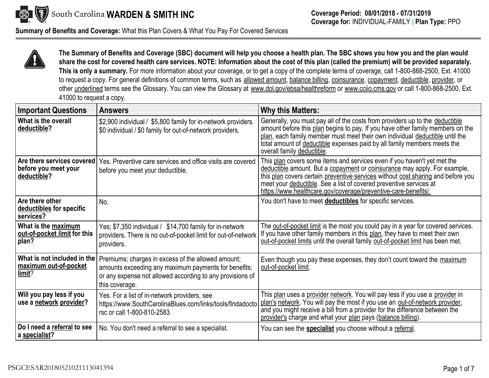

**Summary of Benefits and Coverage:** What this Plan Covers & What You Pay For Covered Services



**The Summary of Benefits and Coverage (SBC) document will help you choose <sup>a</sup> health plan. The SBC shows you how you and the plan would** share the cost for covered health care services. NOTE: Information about the cost of this plan (called the premium) will be provided separately. **This is only <sup>a</sup> summary.** For more information about your coverage, or to get <sup>a</sup> copy of the complete terms of coverage, call 1-800-868-2500, Ext. <sup>41000</sup> to request a copy. For general definitions of common terms, such as <u>allowed amount, balance billing, coinsurance, copayment, deductible, provider,</u> or other <u>underlined</u> terms see the Glossary. You can view the Glossary at <u><www.dol.gov/ebsa/healthreform></u> or <u><www.cciio.cms.gov></u> or call 1-800-868-2500, Ext.<br>44999 to 41000 to request <sup>a</sup> copy.

| <b>Important Questions</b>                                        | <b>Answers</b>                                                                                                                                                                            | <b>Why this Matters:</b>                                                                                                                                                                                                                                                                                                                                                          |
|-------------------------------------------------------------------|-------------------------------------------------------------------------------------------------------------------------------------------------------------------------------------------|-----------------------------------------------------------------------------------------------------------------------------------------------------------------------------------------------------------------------------------------------------------------------------------------------------------------------------------------------------------------------------------|
| What is the overall<br>deductible?                                | \$2,900 individual / \$5,800 family for in-network providers.<br>\$0 individual / \$0 family for out-of-network providers.                                                                | Generally, you must pay all of the costs from providers up to the deductible<br>amount before this plan begins to pay. If you have other family members on the<br>plan, each family member must meet their own individual deductible until the<br>total amount of deductible expenses paid by all family members meets the<br>overall family deductible.                          |
| Are there services covered<br>before you meet your<br>deductible? | Yes. Preventive care services and office visits are covered<br>before you meet your deductible.                                                                                           | This plan covers some items and services even if you haven't yet met the<br>deductible amount. But a copayment or coinsurance may apply. For example,<br>this plan covers certain preventive services without cost sharing and before you<br>meet your deductible. See a list of covered preventive services at<br>https://www.healthcare.gov/coverage/preventive-care-benefits/. |
| Are there other<br>deductibles for specific<br>services?          | No.                                                                                                                                                                                       | You don't have to meet deductibles for specific services.                                                                                                                                                                                                                                                                                                                         |
| What is the maximum<br>out-of-pocket limit for this<br>plan?      | Yes; \$7,350 individual / \$14,700 family for in-network<br>providers. There is no out-of-pocket limit for out-of-network<br>providers.                                                   | The out-of-pocket limit is the most you could pay in a year for covered services.<br>If you have other family members in this plan, they have to meet their own<br>out-of-pocket limits until the overall family out-of-pocket limit has been met.                                                                                                                                |
| What is not included in the<br>maximum out-of-pocket<br>limit?    | Premiums; charges in excess of the allowed amount;<br>amounts exceeding any maximum payments for benefits;<br>or any expense not allowed according to any provisions of<br>this coverage. | Even though you pay these expenses, they don't count toward the maximum<br>out-of-pocket limit.                                                                                                                                                                                                                                                                                   |
| Will you pay less if you<br>use a network provider?               | Yes. For a list of in-network providers, see<br>https://www.SouthCarolinaBlues.com/links/tools/findadocto<br>rsc or call 1-800-810-2583                                                   | This plan uses a provider network. You will pay less if you use a provider in<br>plan's network. You will pay the most if you use an out-of-network provider,<br>and you might receive a bill from a provider for the difference between the<br>provider's charge and what your plan pays (balance billing).                                                                      |
| Do I need a referral to see<br>a specialist?                      | No. You don't need a referral to see a specialist.                                                                                                                                        | You can see the <b>specialist</b> you choose without a referral.                                                                                                                                                                                                                                                                                                                  |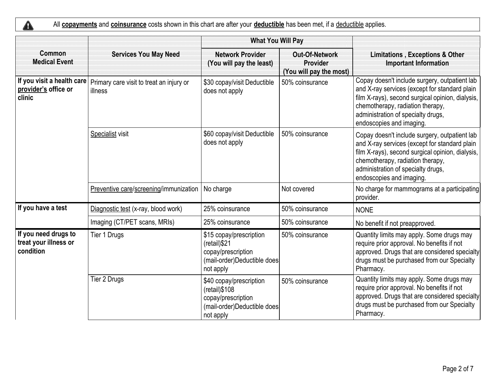$\triangle$ All **copayments** and **coinsurance** costs shown in this chart are after your **deductible** has been met, if <sup>a</sup> deductible applies.

|                                                              |                                                     | <b>What You Will Pay</b>                                                                                      |                                                              |                                                                                                                                                                                                                                                          |
|--------------------------------------------------------------|-----------------------------------------------------|---------------------------------------------------------------------------------------------------------------|--------------------------------------------------------------|----------------------------------------------------------------------------------------------------------------------------------------------------------------------------------------------------------------------------------------------------------|
| Common<br><b>Medical Event</b>                               | <b>Services You May Need</b>                        | <b>Network Provider</b><br>(You will pay the least)                                                           | <b>Out-Of-Network</b><br>Provider<br>(You will pay the most) | <b>Limitations, Exceptions &amp; Other</b><br><b>Important Information</b>                                                                                                                                                                               |
| If you visit a health care<br>provider's office or<br>clinic | Primary care visit to treat an injury or<br>illness | \$30 copay/visit Deductible<br>does not apply                                                                 | 50% coinsurance                                              | Copay doesn't include surgery, outpatient lab<br>and X-ray services (except for standard plain<br>film X-rays), second surgical opinion, dialysis,<br>chemotherapy, radiation therapy,<br>administration of specialty drugs,<br>endoscopies and imaging. |
|                                                              | Specialist visit                                    | \$60 copay/visit Deductible<br>does not apply                                                                 | 50% coinsurance                                              | Copay doesn't include surgery, outpatient lab<br>and X-ray services (except for standard plain<br>film X-rays), second surgical opinion, dialysis,<br>chemotherapy, radiation therapy,<br>administration of specialty drugs,<br>endoscopies and imaging. |
|                                                              | Preventive care/screening/immunization              | No charge                                                                                                     | Not covered                                                  | No charge for mammograms at a participating<br>provider.                                                                                                                                                                                                 |
| If you have a test                                           | Diagnostic test (x-ray, blood work)                 | 25% coinsurance                                                                                               | 50% coinsurance                                              | <b>NONE</b>                                                                                                                                                                                                                                              |
|                                                              | Imaging (CT/PET scans, MRIs)                        | 25% coinsurance                                                                                               | 50% coinsurance                                              | No benefit if not preapproved.                                                                                                                                                                                                                           |
| If you need drugs to<br>treat your illness or<br>condition   | Tier 1 Drugs                                        | \$15 copay/prescription<br>(retail) \$21<br>copay/prescription<br>(mail-order)Deductible does<br>not apply    | 50% coinsurance                                              | Quantity limits may apply. Some drugs may<br>require prior approval. No benefits if not<br>approved. Drugs that are considered specialty<br>drugs must be purchased from our Specialty<br>Pharmacy.                                                      |
|                                                              | Tier 2 Drugs                                        | \$40 copay/prescription<br>$(retail)$ \$108<br>copay/prescription<br>(mail-order)Deductible does<br>not apply | 50% coinsurance                                              | Quantity limits may apply. Some drugs may<br>require prior approval. No benefits if not<br>approved. Drugs that are considered specialty<br>drugs must be purchased from our Specialty<br>Pharmacy.                                                      |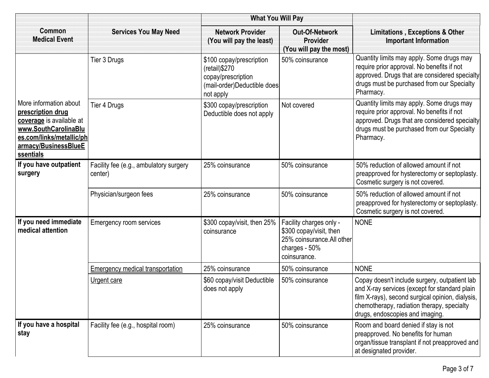|                                                                                                                                                                  |                                                   | <b>What You Will Pay</b>                                                                                     |                                                                                                                   |                                                                                                                                                                                                                                     |
|------------------------------------------------------------------------------------------------------------------------------------------------------------------|---------------------------------------------------|--------------------------------------------------------------------------------------------------------------|-------------------------------------------------------------------------------------------------------------------|-------------------------------------------------------------------------------------------------------------------------------------------------------------------------------------------------------------------------------------|
| Common<br><b>Medical Event</b>                                                                                                                                   | <b>Services You May Need</b>                      | <b>Network Provider</b><br>(You will pay the least)                                                          | <b>Out-Of-Network</b><br>Provider<br>(You will pay the most)                                                      | <b>Limitations, Exceptions &amp; Other</b><br><b>Important Information</b>                                                                                                                                                          |
|                                                                                                                                                                  | Tier 3 Drugs                                      | \$100 copay/prescription<br>(retail) \$270<br>copay/prescription<br>(mail-order)Deductible does<br>not apply | 50% coinsurance                                                                                                   | Quantity limits may apply. Some drugs may<br>require prior approval. No benefits if not<br>approved. Drugs that are considered specialty<br>drugs must be purchased from our Specialty<br>Pharmacy.                                 |
| More information about<br>prescription drug<br>coverage is available at<br>www.SouthCarolinaBlu<br>es.com/links/metallic/ph<br>armacy/BusinessBlueE<br>ssentials | Tier 4 Drugs                                      | \$300 copay/prescription<br>Deductible does not apply                                                        | Not covered                                                                                                       | Quantity limits may apply. Some drugs may<br>require prior approval. No benefits if not<br>approved. Drugs that are considered specialty<br>drugs must be purchased from our Specialty<br>Pharmacy.                                 |
| If you have outpatient<br>surgery                                                                                                                                | Facility fee (e.g., ambulatory surgery<br>center) | 25% coinsurance                                                                                              | 50% coinsurance                                                                                                   | 50% reduction of allowed amount if not<br>preapproved for hysterectomy or septoplasty.<br>Cosmetic surgery is not covered.                                                                                                          |
|                                                                                                                                                                  | Physician/surgeon fees                            | 25% coinsurance                                                                                              | 50% coinsurance                                                                                                   | 50% reduction of allowed amount if not<br>preapproved for hysterectomy or septoplasty.<br>Cosmetic surgery is not covered.                                                                                                          |
| If you need immediate<br>medical attention                                                                                                                       | <b>Emergency room services</b>                    | \$300 copay/visit, then 25%<br>coinsurance                                                                   | Facility charges only -<br>\$300 copay/visit, then<br>25% coinsurance. All other<br>charges - 50%<br>coinsurance. | <b>NONE</b>                                                                                                                                                                                                                         |
|                                                                                                                                                                  | <b>Emergency medical transportation</b>           | 25% coinsurance                                                                                              | 50% coinsurance                                                                                                   | <b>NONE</b>                                                                                                                                                                                                                         |
|                                                                                                                                                                  | Urgent care                                       | \$60 copay/visit Deductible<br>does not apply                                                                | 50% coinsurance                                                                                                   | Copay doesn't include surgery, outpatient lab<br>and X-ray services (except for standard plain<br>film X-rays), second surgical opinion, dialysis,<br>chemotherapy, radiation therapy, specialty<br>drugs, endoscopies and imaging. |
| If you have a hospital<br>stay                                                                                                                                   | Facility fee (e.g., hospital room)                | 25% coinsurance                                                                                              | 50% coinsurance                                                                                                   | Room and board denied if stay is not<br>preapproved. No benefits for human<br>organ/tissue transplant if not preapproved and<br>at designated provider.                                                                             |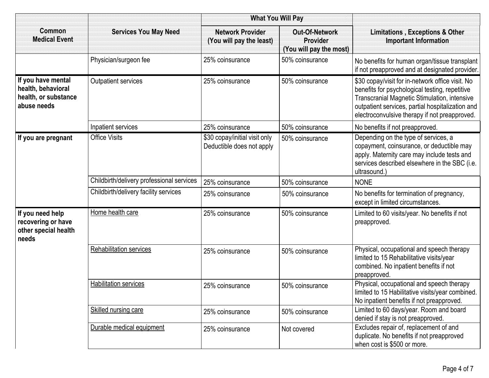|                                                                                 | <b>What You Will Pay</b>                  |                                                            |                                                              |                                                                                                                                                                                                                                                                |
|---------------------------------------------------------------------------------|-------------------------------------------|------------------------------------------------------------|--------------------------------------------------------------|----------------------------------------------------------------------------------------------------------------------------------------------------------------------------------------------------------------------------------------------------------------|
| <b>Common</b><br><b>Medical Event</b>                                           | <b>Services You May Need</b>              | <b>Network Provider</b><br>(You will pay the least)        | <b>Out-Of-Network</b><br>Provider<br>(You will pay the most) | <b>Limitations, Exceptions &amp; Other</b><br><b>Important Information</b>                                                                                                                                                                                     |
|                                                                                 | Physician/surgeon fee                     | 25% coinsurance                                            | 50% coinsurance                                              | No benefits for human organ/tissue transplant<br>if not preapproved and at designated provider.                                                                                                                                                                |
| If you have mental<br>health, behavioral<br>health, or substance<br>abuse needs | Outpatient services                       | 25% coinsurance                                            | 50% coinsurance                                              | \$30 copay/visit for in-network office visit. No<br>benefits for psychological testing, repetitive<br><b>Transcranial Magnetic Stimulation, intensive</b><br>outpatient services, partial hospitalization and<br>electroconvulsive therapy if not preapproved. |
|                                                                                 | Inpatient services                        | 25% coinsurance                                            | 50% coinsurance                                              | No benefits if not preapproved.                                                                                                                                                                                                                                |
| If you are pregnant                                                             | <b>Office Visits</b>                      | \$30 copay/initial visit only<br>Deductible does not apply | 50% coinsurance                                              | Depending on the type of services, a<br>copayment, coinsurance, or deductible may<br>apply. Maternity care may include tests and<br>services described elsewhere in the SBC (i.e.<br>ultrasound.)                                                              |
|                                                                                 | Childbirth/delivery professional services | 25% coinsurance                                            | 50% coinsurance                                              | <b>NONE</b>                                                                                                                                                                                                                                                    |
|                                                                                 | Childbirth/delivery facility services     | 25% coinsurance                                            | 50% coinsurance                                              | No benefits for termination of pregnancy,<br>except in limited circumstances.                                                                                                                                                                                  |
| If you need help<br>recovering or have<br>other special health<br>needs         | Home health care                          | 25% coinsurance                                            | 50% coinsurance                                              | Limited to 60 visits/year. No benefits if not<br>preapproved.                                                                                                                                                                                                  |
|                                                                                 | <b>Rehabilitation services</b>            | 25% coinsurance                                            | 50% coinsurance                                              | Physical, occupational and speech therapy<br>limited to 15 Rehabilitative visits/year<br>combined. No inpatient benefits if not<br>preapproved.                                                                                                                |
|                                                                                 | <b>Habilitation services</b>              | 25% coinsurance                                            | 50% coinsurance                                              | Physical, occupational and speech therapy<br>limited to 15 Habilitative visits/year combined.<br>No inpatient benefits if not preapproved.                                                                                                                     |
|                                                                                 | Skilled nursing care                      | 25% coinsurance                                            | 50% coinsurance                                              | Limited to 60 days/year. Room and board<br>denied if stay is not preapproved.                                                                                                                                                                                  |
|                                                                                 | Durable medical equipment                 | 25% coinsurance                                            | Not covered                                                  | Excludes repair of, replacement of and<br>duplicate. No benefits if not preapproved<br>when cost is \$500 or more.                                                                                                                                             |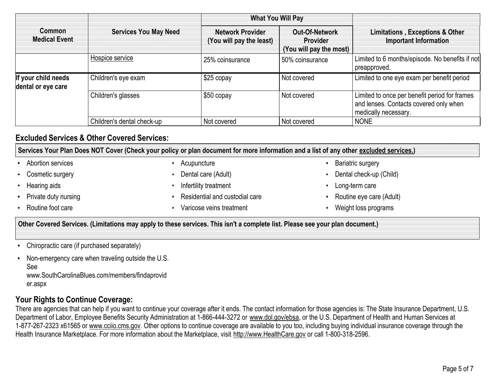|                                           |                              | <b>What You Will Pay</b>                            |                                                              |                                                                                                                 |  |
|-------------------------------------------|------------------------------|-----------------------------------------------------|--------------------------------------------------------------|-----------------------------------------------------------------------------------------------------------------|--|
| <b>Common</b><br><b>Medical Event</b>     | <b>Services You May Need</b> | <b>Network Provider</b><br>(You will pay the least) | Out-Of-Network<br><b>Provider</b><br>(You will pay the most) | <b>Limitations, Exceptions &amp; Other</b><br>Important Information                                             |  |
|                                           | Hospice service              | 25% coinsurance                                     | 50% coinsurance                                              | Limited to 6 months/episode. No benefits if not<br>preapproved.                                                 |  |
| If your child needs<br>dental or eye care | Children's eye exam          | $$25$ copay                                         | Not covered                                                  | Limited to one eye exam per benefit period                                                                      |  |
|                                           | Children's glasses           | \$50 copay                                          | Not covered                                                  | Limited to once per benefit period for frames<br>and lenses. Contacts covered only when<br>medically necessary. |  |
|                                           | Children's dental check-up   | Not covered                                         | Not covered                                                  | <b>NONE</b>                                                                                                     |  |

## **Excluded Services & Other Covered Services:**

Services Your Plan Does NOT Cover (Check your policy or plan document for more information and a list of any other <u>excluded services.</u>)

- **Abortion services**
- Cosmetic surgery
- **Hearing aids**
- Private duty nursing
- Routine foot care
- 
- Dental care (Adult) Infertility treatment
- Residential and custodial care
- 
- Acupuncture **Acupuncture CONSIDER Acupuncture Bariatric surgery** 
	- Dental check-up (Child)
	-
	- Long-term care<br>Routine eve care (Adult)
	- Varicose veins treatment Weight loss programs

Other Covered Services. (Limitations may apply to these services. This isn't a complete list. Please see your plan document.)

- Chiropractic care (if purchased separately)
- Non-emergency care when traveling outside the U.S. See <www.SouthCarolinaBlues.com/members/findaprovid>er.aspx

### **Your Rights to Continue Coverage:**

There are agencies that can help if you want to continue your coverage after it ends. The contact information for those agencies is: The State Insurance Department, U.S. Department of Labor, Employee Benefits Security Administration at 1-866-444-3272 or <u><www.dol.gov/ebsa></u>, or the U.S. Department of Health and Human Services at 1-877-267-2323 x61565 or <u><www.cciio.cms.gov></u>. Other options to continue coverage are available to you too, including buying individual insurance coverage through the Health Insurance Marketplace. For more information about the Marketplace, visit <u><http://www.HealthCare.gov></u> or call 1-800-318-2596.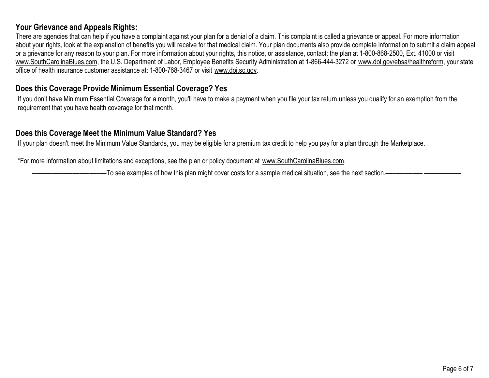### **Your Grievance and Appeals Rights:**

There are agencies that can help if you have <sup>a</sup> complaint against your plan for <sup>a</sup> denial of <sup>a</sup> claim. This complaint is called <sup>a</sup> grievance or appeal. For more information about your rights, look at the explanation of benefits you will receive for that medical claim. Your plan documents also provide complete information to submit a claim appeal<br>see all the complete the complete all the subst or <sup>a</sup> grievance for any reason to your plan. For more information about your rights, this notice, or assistance, contact: the plan at 1-800-868-2500, Ext. <sup>41000</sup> or visit <u><www.SouthCarolinaBlues.com>,</u> the U.S. Department of Labor, Employee Benefits Security Administration at 1-866-444-3272 or <u><www.dol.gov/ebsa/healthreform></u>, your state office of health insurance customer assistance at: 1-800-768-3467 or visit <u><www.doi.sc.gov></u>.

## **Does this Coverage Provide Minimum Essential Coverage? Yes**

If you don't have Minimum Essential Coverage for <sup>a</sup> month, you'll have to make <sup>a</sup> payment when you file your tax return unless you qualify for an exemption from the requirement that you have health coverage for that month.

## **Does this Coverage Meet the Minimum Value Standard? Yes**

If your plan doesn't meet the Minimum Value Standards, you may be eligible for <sup>a</sup> premium tax credit to help you pay for <sup>a</sup> plan through the Marketplace.

\*For more information about limitations and exceptions, see the plan or policy document at <www.SouthCarolinaBlues.com>.

––––––––––––––––––––––To see examples of how this plan might cover costs for <sup>a</sup> sample medical situation, see the next section.––––––––––– –––––––––––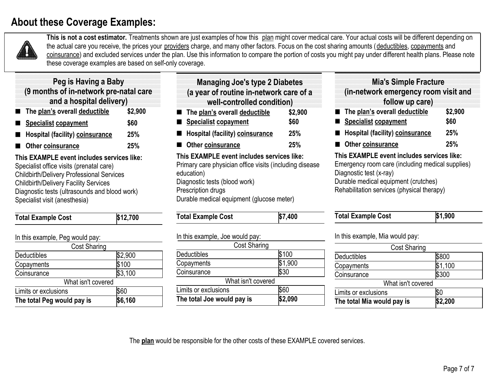# **About these Coverage Examples:**



**This is not <sup>a</sup> cost estimator.** Treatments shown are just examples of how this plan might cover medical care. Your actual costs will be different depending on the actual care you receive, the prices your <u>providers</u> charge, and many other factors. Focus on the cost sharing amounts (<u>deductibles, copayments</u> and <u>coinsurance</u>) and excluded services under the plan. Use this information to compare the portion of costs you might pay under different health plans. Please note these coverage examples are based on self-only coverage.

| The plan's overall deductible          | \$2,900 |
|----------------------------------------|---------|
| and a hospital delivery)               |         |
| (9 months of in-network pre-natal care |         |
| <b>Peg is Having a Baby</b>            |         |
|                                        |         |

- **Specialist copayment \$60**
- **Hospital (facility) coinsurance25%**
- **25%Other coinsurance**

 **This EXAMPLE event includes services like:** Specialist office visits (prenatal care) Childbirth/Delivery Professional Services Childbirth/Delivery Facility Services Diagnostic tests (ultrasounds and blood work) Specialist visit (anesthesia)

| <b>Total Example Cost</b>       | \$12,700 |
|---------------------------------|----------|
| In this example, Peg would pay: |          |
| <b>Cost Sharing</b>             |          |
| Deductibles                     | \$2,900  |
| Copayments                      | \$100    |
| Coinsurance                     | \$3,100  |
| What icn't covered              |          |

| The total Peg would pay is | \$6,160 |
|----------------------------|---------|
| Limits or exclusions       | \$60    |
| What isn't covered         |         |
|                            |         |

| <b>Managing Joe's type 2 Diabetes</b><br>(a year of routine in-network care of a<br>well-controlled condition) |         |
|----------------------------------------------------------------------------------------------------------------|---------|
| The plan's overall deductible                                                                                  | \$2,900 |
| <b>Specialist copayment</b>                                                                                    | \$60    |
| <b>Hospital (facility) coinsurance</b>                                                                         | 25%     |
| Other coinsurance                                                                                              | 25%     |
| This EXAMPLE event includes services like:<br>Primary care physician office visits (including disease          |         |

education) Diagnostic tests (blood work) Prescription drugs Durable medical equipment (glucose meter)

| \$7.400<br><b>Total Example Cost</b> |
|--------------------------------------|
|--------------------------------------|

| The total Joe would pay is      | \$2,090 |
|---------------------------------|---------|
| Limits or exclusions            | \$60    |
| What isn't covered              |         |
| Coinsurance                     | \$30    |
| Copayments                      | \$1,900 |
| Deductibles                     | \$100   |
| <b>Cost Sharing</b>             |         |
| In this example, Joe would pay: |         |

#### **Mia's Simple Fracture (in-network emergency room visit and follow up care)**

**The plan's overall deductible \$2,900 Specialist copayment \$60Hospital (facility) coinsurance25%**

#### **25%Other coinsurance**

 **This EXAMPLE event includes services like:** Emergency room care (including medical supplies) Diagnostic test (x-ray) Durable medical equipment (crutches) Rehabilitation services (physical therapy)

| <b>Total Example Cost</b> | \$1.900 |
|---------------------------|---------|

In this example, Mia would pay:

| <b>Cost Sharing</b>        |         |  |
|----------------------------|---------|--|
| Deductibles                | \$800   |  |
| Copayments                 | \$1,100 |  |
| Coinsurance                | \$300   |  |
| What isn't covered         |         |  |
| Limits or exclusions       |         |  |
| The total Mia would pay is | \$2,200 |  |

The **plan** would be responsible for the other costs of these EXAMPLE covered services.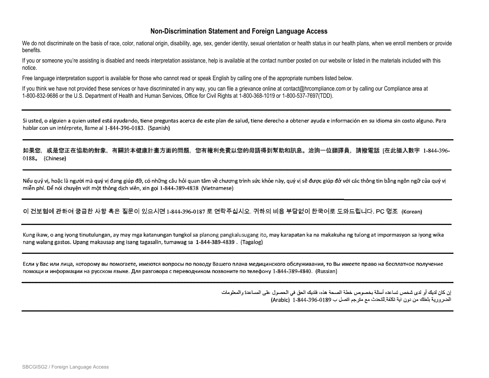#### **Non-Discrimination Statement and Foreign Language Access**

We do not discriminate on the basis of race, color, national origin, disability, age, sex, gender identity, sexual orientation or health status in our health plans, when we enroll members or provide benefits.

If you or someone you're assisting is disabled and needs interpretation assistance, help is available at the contact number posted on our website or listed in the materials included with this notice.

Free language interpretation support is available for those who cannot read or speak English by calling one of the appropriate numbers listed below.

If you think we have not provided these services or have discriminated in any way, you can file a grievance online at contact@hrcompliance.com or by calling our Compliance area at<br>4.999.999.9999.94bs U.S. Desertment of Use 1-800-832-9686 or the U.S. Department of Health and Human Services, Office for Civil Rights at 1-800-368-1019 or 1-800-537-7697(TDD).

Si usted, o alguien a quien usted está avudando, tiene preguntas acerca de este plan de salud, tiene derecho a obtener avuda e información en su idioma sin costo alguno. Para hablar con un intérprete, llame al 1-844-396-0183. (Spanish)

如果您,或是您正在協助的對象,有關於本健康計畫方面的問題,您有權利免費以您的母語得到幫助和訊息。洽詢一位翻譯員,請撥電話 [在此插入數字 1-844-396-0188<sub>o</sub> (Chinese)

Nếu quý vị, hoặc là người mà quý vị đang giúp đỡ, có những câu hỏi quan tâm về chương trình sức khỏe này, quý vị sẽ được giúp đở với các thông tin bằng ngôn ngữ của quý vị miễn phí. Để nói chuyện với một thông dịch viên, xin gọi 1-844-389-4838 (Vietnamese)

이 건보험에 관하여 궁금한 사항 혹은 질문이 있으시면 1-844-396-0187 로 연락주십시오. 귀하의 비용 부담없이 한국어로 도와드립니다. PC 명조 (Korean)

Kung ikaw, o ang iyong tinutulungan, ay may mga katanungan tungkol sa planong pangkalusugang ito, may karapatan ka na makakuha ng tulong at impormasyon sa iyong wika nang walang gastos. Upang makausap ang isang tagasalin, tumawag sa 1-844-389-4839. (Tagalog)

Если у Вас или лица, которому вы помогаете, имеются вопросы по поводу Вашего плана медицинского обслуживания, то Вы имеете право на бесплатное получение помощи и информации на русском языке. Для разговора с переводчиком позвоните по телефону 1-844-389-4840. (Russian)

> إن كان لديك أو لدى شخص تساعده أسئلة بخصوص خطة الصحة هذه، فلديك الحق في الحصول على المساعدة والمعلومات الضرورية بلغتك من دون ابة تكلفة للتحدث مع مترجم اتصل ب 396-396-344-3) (Arabic)